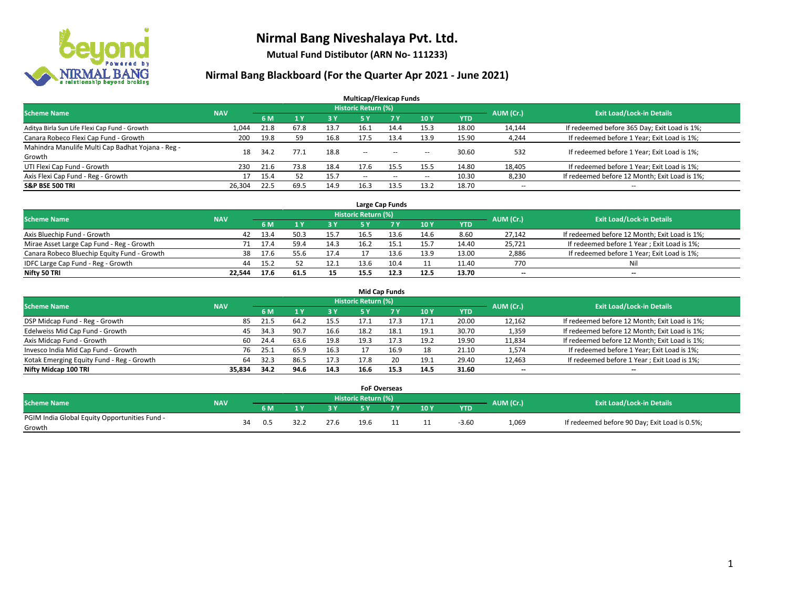

**Mutual Fund Distibutor (ARN No- 111233)**

| <b>Multicap/Flexicap Funds</b>                    |            |      |                |            |                            |        |                          |            |                          |                                               |  |  |  |
|---------------------------------------------------|------------|------|----------------|------------|----------------------------|--------|--------------------------|------------|--------------------------|-----------------------------------------------|--|--|--|
| <b>Scheme Name</b>                                | <b>NAV</b> |      |                |            | <b>Historic Return (%)</b> |        |                          |            | AUM (Cr.)                | <b>Exit Load/Lock-in Details</b>              |  |  |  |
|                                                   |            | 6 M  | 1 <sub>V</sub> | <b>3 Y</b> | 5 Y                        | 7Y     | 10Y                      | <b>YTD</b> |                          |                                               |  |  |  |
| Aditya Birla Sun Life Flexi Cap Fund - Growth     | 1,044      | 21.8 | 67.8           | 13.7       | 16.1                       | 14.4   | 15.3                     | 18.00      | 14,144                   | If redeemed before 365 Day; Exit Load is 1%;  |  |  |  |
| Canara Robeco Flexi Cap Fund - Growth             | 200        | 19.8 | 59             | 16.8       | 17.5                       | 13.4   | 13.9                     | 15.90      | 4,244                    | If redeemed before 1 Year; Exit Load is 1%;   |  |  |  |
| Mahindra Manulife Multi Cap Badhat Yojana - Reg - | 18         | 34.2 | 77.1           | 18.8       | $\sim$ $\sim$              | $\sim$ |                          | 30.60      | 532                      | If redeemed before 1 Year; Exit Load is 1%;   |  |  |  |
| Growth                                            |            |      |                |            |                            |        | $\sim$                   |            |                          |                                               |  |  |  |
| UTI Flexi Cap Fund - Growth                       | 230        | 21.6 | 73.8           | 18.4       | 17.6                       | 15.5   | 15.5                     | 14.80      | 18,405                   | If redeemed before 1 Year; Exit Load is 1%;   |  |  |  |
| Axis Flexi Cap Fund - Reg - Growth                | 17         | 15.4 | 52             | 15.7       | $\overline{\phantom{a}}$   | $-$    | $\overline{\phantom{a}}$ | 10.30      | 8,230                    | If redeemed before 12 Month; Exit Load is 1%; |  |  |  |
| <b>S&amp;P BSE 500 TRI</b>                        | 26,304     | 22.5 | 69.5           | 14.9       | 16.3                       | 13.5   | 13.2                     | 18.70      | $\overline{\phantom{a}}$ | $- -$                                         |  |  |  |

|                                             |            |      |      |      |                     | Large Cap Funds |      |       |           |                                               |
|---------------------------------------------|------------|------|------|------|---------------------|-----------------|------|-------|-----------|-----------------------------------------------|
| <b>Scheme Name</b>                          | <b>NAV</b> |      |      |      | Historic Return (%) |                 |      |       | AUM (Cr.) | <b>Exit Load/Lock-in Details</b>              |
|                                             |            | 6 M  |      | 3Y   |                     | 7 Y             | 10Y  | YTD   |           |                                               |
| Axis Bluechip Fund - Growth                 | 42         | 13.4 | 50.3 | 15.7 | 16.5                | 13.6            | 14.6 | 8.60  | 27,142    | If redeemed before 12 Month; Exit Load is 1%; |
| Mirae Asset Large Cap Fund - Reg - Growth   | 71         | 17.4 | 59.4 | 14.3 | 16.2                |                 | 15.7 | 14.40 | 25,721    | If redeemed before 1 Year; Exit Load is 1%;   |
| Canara Robeco Bluechip Equity Fund - Growth | 38         | 17.6 | 55.6 | 17.4 |                     |                 | 13.9 | 13.00 | 2,886     | If redeemed before 1 Year; Exit Load is 1%;   |
| IDFC Large Cap Fund - Reg - Growth          | 44         | 15.2 |      | 12.1 | 13.6                | 10.4            | 11   | 11.40 | 770       | Nil                                           |
| Nifty 50 TRI                                | 22.544     | 17.6 | 61.5 | 15   | 15.5                | 12.3            | 12.5 | 13.70 | $- -$     | $\overline{\phantom{a}}$                      |

| <b>Mid Cap Funds</b>                      |            |           |                                  |           |      |      |      |            |                          |                                               |  |  |  |  |
|-------------------------------------------|------------|-----------|----------------------------------|-----------|------|------|------|------------|--------------------------|-----------------------------------------------|--|--|--|--|
| <b>Scheme Name</b>                        | <b>NAV</b> | AUM (Cr.) | <b>Exit Load/Lock-in Details</b> |           |      |      |      |            |                          |                                               |  |  |  |  |
|                                           |            | 6 M       |                                  | <b>3Y</b> | 5 Y  |      | 10Y  | <b>YTD</b> |                          |                                               |  |  |  |  |
| DSP Midcap Fund - Reg - Growth            | 85         | 21.5      | 64.2                             | 15.5      | 17.1 | 17.3 | 17.1 | 20.00      | 12,162                   | If redeemed before 12 Month; Exit Load is 1%; |  |  |  |  |
| Edelweiss Mid Cap Fund - Growth           | 45         | 34.3      | 90.7                             | 16.6      | 18.2 | 18.1 | 19.1 | 30.70      | 1,359                    | If redeemed before 12 Month; Exit Load is 1%; |  |  |  |  |
| Axis Midcap Fund - Growth                 | 60         | 24.4      | 63.6                             | 19.8      | 19.3 | 17.3 | 19.2 | 19.90      | 11,834                   | If redeemed before 12 Month; Exit Load is 1%; |  |  |  |  |
| Invesco India Mid Cap Fund - Growth       | 76         | 25.1      | 65.°                             | 16.3      |      | 16.9 | 18   | 21.10      | 1,574                    | If redeemed before 1 Year; Exit Load is 1%;   |  |  |  |  |
| Kotak Emerging Equity Fund - Reg - Growth | 64         | 32.3      | 86.5                             | 17.3      | 17.8 | 20   | 19.1 | 29.40      | 12,463                   | If redeemed before 1 Year; Exit Load is 1%;   |  |  |  |  |
| Nifty Midcap 100 TRI                      | 35.834     | 34.2      | 94.6                             | 14.3      | 16.6 | 15.3 | 14.5 | 31.60      | $\overline{\phantom{m}}$ | $\overline{\phantom{a}}$                      |  |  |  |  |

|                                               |            |    |     |      |                     | <b>FoF Overseas</b> |     |            |           |                                               |
|-----------------------------------------------|------------|----|-----|------|---------------------|---------------------|-----|------------|-----------|-----------------------------------------------|
| Scheme Name                                   | <b>NAV</b> |    |     |      | Historic Return (%) |                     |     |            | AUM (Cr.) | <b>Exit Load/Lock-in Details</b>              |
|                                               |            |    | 6 M | י כ  |                     |                     | 10Y | <b>YTD</b> |           |                                               |
| PGIM India Global Equity Opportunities Fund - |            | 34 | 0.5 | 27.6 | 19.6                |                     |     | $-3.60$    | 1,069     | If redeemed before 90 Day; Exit Load is 0.5%; |
| Growth                                        |            |    |     |      |                     |                     |     |            |           |                                               |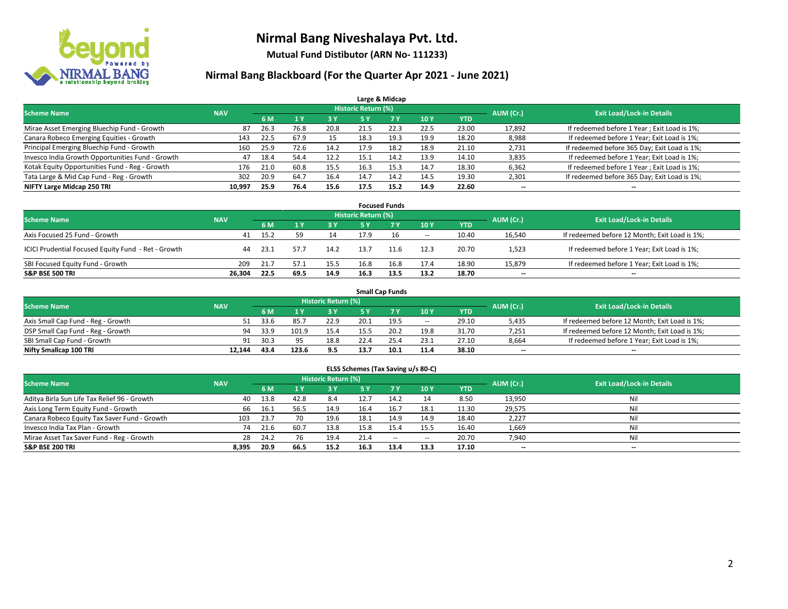

**Mutual Fund Distibutor (ARN No- 111233)**

|                                                  |            |      |      |      |                            | Large & Midcap |      |            |           |                                              |
|--------------------------------------------------|------------|------|------|------|----------------------------|----------------|------|------------|-----------|----------------------------------------------|
| <b>Scheme Name</b>                               | <b>NAV</b> |      |      |      | <b>Historic Return (%)</b> |                |      |            | AUM (Cr.) | <b>Exit Load/Lock-in Details</b>             |
|                                                  |            | 6 M  |      | 3 Y  | /5 Y                       | <b>7Y</b>      | 10Y  | <b>YTD</b> |           |                                              |
| Mirae Asset Emerging Bluechip Fund - Growth      | 87         | 26.3 | 76.8 | 20.8 | 21.5                       | 22.3           | 22.5 | 23.00      | 17,892    | If redeemed before 1 Year; Exit Load is 1%;  |
| Canara Robeco Emerging Equities - Growth         | 143        | 22.5 | 67.9 | 15   | 18.3                       | 19.3           | 19.9 | 18.20      | 8,988     | If redeemed before 1 Year; Exit Load is 1%;  |
| Principal Emerging Bluechip Fund - Growth        | 160        | 25.9 | 72.6 | 14.2 | 17.9                       | 18.2           | 18.9 | 21.10      | 2,731     | If redeemed before 365 Day; Exit Load is 1%; |
| Invesco India Growth Opportunities Fund - Growth | 47         | 18.4 | 54.4 | 12.2 | 15.1                       | 14.2           | 13.9 | 14.10      | 3,835     | If redeemed before 1 Year; Exit Load is 1%;  |
| Kotak Equity Opportunities Fund - Reg - Growth   | 176        | 21.0 | 60.8 | 15.5 | 16.3                       | 15.3           | 14.7 | 18.30      | 6,362     | If redeemed before 1 Year; Exit Load is 1%;  |
| Tata Large & Mid Cap Fund - Reg - Growth         | 302        | 20.9 | 64.7 | 16.4 | 14.7                       | 14.2           | 14.5 | 19.30      | 2,301     | If redeemed before 365 Day; Exit Load is 1%; |
| NIFTY Large Midcap 250 TRI                       | 10,997     | 25.9 | 76.4 | 15.6 | 17.5                       | 15.2           | 14.9 | 22.60      | --        | $- -$                                        |

| <b>Focused Funds</b>                                |            |      |      |      |                     |      |        |            |           |                                               |  |  |  |
|-----------------------------------------------------|------------|------|------|------|---------------------|------|--------|------------|-----------|-----------------------------------------------|--|--|--|
| <b>Scheme Name</b>                                  | <b>NAV</b> |      |      |      | Historic Return (%) |      |        |            | AUM (Cr.) | <b>Exit Load/Lock-in Details</b>              |  |  |  |
|                                                     |            | 6 M  |      | 73 Y | 5 Y                 |      | 10Y    | <b>YTD</b> |           |                                               |  |  |  |
| Axis Focused 25 Fund - Growth                       | 41         | 15.2 | 59   | 14   | 17.9                | 16   | $\sim$ | 10.40      | 16,540    | If redeemed before 12 Month; Exit Load is 1%; |  |  |  |
| ICICI Prudential Focused Equity Fund - Ret - Growth | 44         | 23.1 | 57.7 | 14.2 | 13.7                | 11.6 | 12.3   | 20.70      | 1,523     | If redeemed before 1 Year; Exit Load is 1%;   |  |  |  |
| SBI Focused Equity Fund - Growth                    | 209        | 21.7 | 57.1 | 15.5 | 16.8                | 16.8 | 17.4   | 18.90      | 15,879    | If redeemed before 1 Year; Exit Load is 1%;   |  |  |  |
| <b>S&amp;P BSE 500 TRI</b>                          | 26.304     | 22.5 | 69.5 | 14.9 | 16.3                | 13.5 | 13.2   | 18.70      | $- -$     | $\overline{\phantom{a}}$                      |  |  |  |

| <b>Small Cap Funds</b>             |            |      |       |                     |      |      |                          |       |           |                                               |  |  |  |
|------------------------------------|------------|------|-------|---------------------|------|------|--------------------------|-------|-----------|-----------------------------------------------|--|--|--|
| <b>Scheme Name</b>                 | <b>NAV</b> |      |       | Historic Return (%) |      |      |                          |       | AUM (Cr.) | <b>Exit Load/Lock-in Details</b>              |  |  |  |
|                                    |            | 6 M  |       | 3 Y.                | 5٧   |      | 10Y                      | YTD   |           |                                               |  |  |  |
| Axis Small Cap Fund - Reg - Growth |            | 33.6 | 85.7  | 22.9                | 20.1 | 19.5 | $\overline{\phantom{a}}$ | 29.10 | 5,435     | If redeemed before 12 Month; Exit Load is 1%; |  |  |  |
| DSP Small Cap Fund - Reg - Growth  | 94         | 33.9 | 101.9 | 15.4                | 15.5 | 20.2 | 19.8                     | 31.70 | 7.251     | If redeemed before 12 Month; Exit Load is 1%; |  |  |  |
| SBI Small Cap Fund - Growth        | 91         | 30.3 | 95    | 18.8                | 22.4 | 25.4 | 23.1                     | 27.10 | 8,664     | If redeemed before 1 Year; Exit Load is 1%;   |  |  |  |
| Nifty Smallcap 100 TRI             | 12.144     | 43.4 | 123.6 | 9.5                 | 13.  | 10.1 | 11.4                     | 38.10 | $- -$     | $\overline{\phantom{a}}$                      |  |  |  |

| ELSS Schemes (Tax Saving u/s 80-C)           |            |                                  |      |       |           |           |        |            |        |     |  |  |  |
|----------------------------------------------|------------|----------------------------------|------|-------|-----------|-----------|--------|------------|--------|-----|--|--|--|
| <b>Scheme Name</b>                           | AUM (Cr.)  | <b>Exit Load/Lock-in Details</b> |      |       |           |           |        |            |        |     |  |  |  |
|                                              | <b>NAV</b> | 6 M                              | 1Y   | 73 Y. | <b>5Y</b> | <b>7Y</b> | 10Y    | <b>YTD</b> |        |     |  |  |  |
| Aditya Birla Sun Life Tax Relief 96 - Growth | 40         | 13.8                             | 42.8 | 8.4   | 12.7      | 14.2      |        | 8.50       | 13,950 | Ni  |  |  |  |
| Axis Long Term Equity Fund - Growth          | 66         | 16.1                             | 56.5 | 14.9  | 16.4      | 16.7      | 18.1   | 11.30      | 29,575 | Ni  |  |  |  |
| Canara Robeco Equity Tax Saver Fund - Growth | 103        | 23.7                             |      | 19.6  | 18.1      | 14.9      | 14.9   | 18.40      | 2.227  | Ni  |  |  |  |
| Invesco India Tax Plan - Growth              | 74         | 21.6                             | 60.7 | 13.8  | 15.8      | 15.4      | 15.5   | 16.40      | 1,669  | Ni  |  |  |  |
| Mirae Asset Tax Saver Fund - Reg - Growth    | 28         | 24.2                             | 76   | 19.4  | 21.4      | $\sim$    | $\sim$ | 20.70      | 7,940  | Ni  |  |  |  |
| S&P BSE 200 TRI                              | 8,395      | 20.9                             | 66.5 | 15.2  | 16.3      | 13.4      | 13.3   | 17.10      | $- -$  | $-$ |  |  |  |
|                                              |            |                                  |      |       |           |           |        |            |        |     |  |  |  |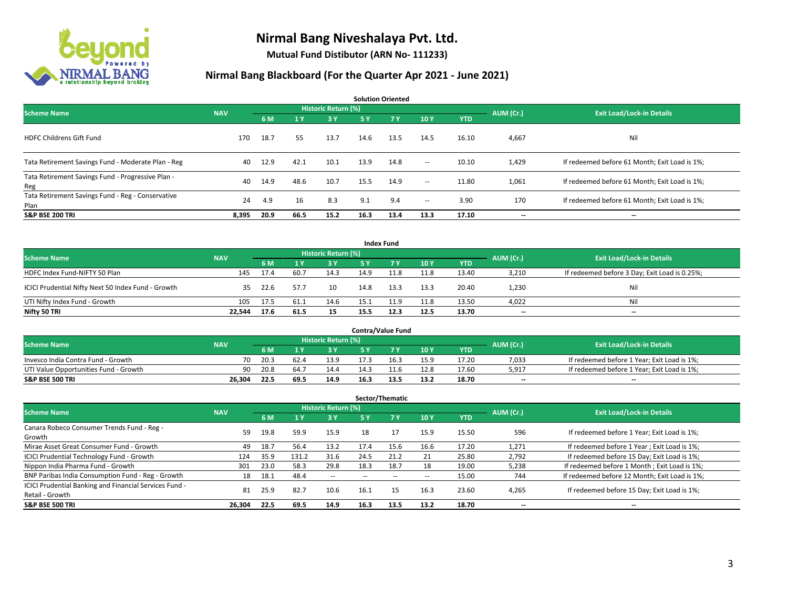

**Mutual Fund Distibutor (ARN No- 111233)**

| <b>Solution Oriented</b>                                  |            |      |      |                            |           |           |                          |            |           |                                               |  |  |  |
|-----------------------------------------------------------|------------|------|------|----------------------------|-----------|-----------|--------------------------|------------|-----------|-----------------------------------------------|--|--|--|
| <b>Scheme Name</b>                                        | <b>NAV</b> |      |      | <b>Historic Return (%)</b> |           |           |                          |            | AUM (Cr.) | <b>Exit Load/Lock-in Details</b>              |  |  |  |
|                                                           |            | 6 M  | 1 Y  | 3 Y                        | <b>5Y</b> | <b>7Y</b> | 10Y                      | <b>YTD</b> |           |                                               |  |  |  |
| <b>HDFC Childrens Gift Fund</b>                           | 170        | 18.7 | 55   | 13.7                       | 14.6      | 13.5      | 14.5                     | 16.10      | 4,667     | Nil                                           |  |  |  |
| Tata Retirement Savings Fund - Moderate Plan - Reg        | 40         | 12.9 | 42.1 | 10.1                       | 13.9      | 14.8      | $\sim$ $\sim$            | 10.10      | 1,429     | If redeemed before 61 Month; Exit Load is 1%; |  |  |  |
| Tata Retirement Savings Fund - Progressive Plan -<br>Reg  | 40         | 14.9 | 48.6 | 10.7                       | 15.5      | 14.9      | $\overline{\phantom{a}}$ | 11.80      | 1,061     | If redeemed before 61 Month; Exit Load is 1%; |  |  |  |
| Tata Retirement Savings Fund - Reg - Conservative<br>Plan | 24         | 4.9  | 16   | 8.3                        | 9.1       | 9.4       | $\overline{\phantom{a}}$ | 3.90       | 170       | If redeemed before 61 Month; Exit Load is 1%; |  |  |  |
| <b>S&amp;P BSE 200 TRI</b>                                | 8,395      | 20.9 | 66.5 | 15.2                       | 16.3      | 13.4      | 13.3                     | 17.10      | --        | --                                            |  |  |  |

|                                                    |            |      |      |                     |      | <b>Index Fund</b> |      |            |           |                                               |
|----------------------------------------------------|------------|------|------|---------------------|------|-------------------|------|------------|-----------|-----------------------------------------------|
| <b>Scheme Name</b>                                 | <b>NAV</b> |      |      | Historic Return (%) |      |                   |      |            | AUM (Cr.) | <b>Exit Load/Lock-in Details</b>              |
|                                                    |            | 6 M  |      | 73 Y.               | 5 Y  | <b>77 Y</b>       | 10Y  | <b>YTD</b> |           |                                               |
| HDFC Index Fund-NIFTY 50 Plan                      | 145        | 17.4 | 60.7 | 14.3                | 14.9 | 11.8              | 11.8 | 13.40      | 3,210     | If redeemed before 3 Day; Exit Load is 0.25%; |
| ICICI Prudential Nifty Next 50 Index Fund - Growth | 35.        | 22.6 | 57.7 | 10                  | 14.8 | 13.3              | 13.3 | 20.40      | 1.230     | Nil                                           |
| UTI Nifty Index Fund - Growth                      | 105        | 17.5 | 61.1 | 14.6                | 15.1 | 11.9              | 11.8 | 13.50      | 4,022     | Nil                                           |
| Nifty 50 TRI                                       | 22,544     | 17.6 | 61.5 | 15                  | 15.5 | 12.3              | 12.5 | 13.70      | $- -$     | $\overline{\phantom{a}}$                      |

|                                       |            |                                  |                  |      |      | <b>Contra/Value Fund</b> |      |            |       |                                             |
|---------------------------------------|------------|----------------------------------|------------------|------|------|--------------------------|------|------------|-------|---------------------------------------------|
| <b>Scheme Name</b>                    | AUM (Cr.)  | <b>Exit Load/Lock-in Details</b> |                  |      |      |                          |      |            |       |                                             |
|                                       | <b>NAV</b> | 6 M                              |                  | 3 Y  |      | 7 V                      | 10Y  | <b>YTD</b> |       |                                             |
| Invesco India Contra Fund - Growth    | 70         | 20.3                             |                  | 13.9 |      | 16.3                     | 15.9 | 17.20      | 7,033 | If redeemed before 1 Year; Exit Load is 1%; |
| UTI Value Opportunities Fund - Growth | 90         | 20.8                             | 64. <sup>-</sup> | 14.4 | 14.3 |                          | 12.8 | 17.60      | 5,917 | If redeemed before 1 Year; Exit Load is 1%; |
| <b>S&amp;P BSE 500 TRI</b>            | 26.304     | 22.5                             | 69.5             | 14.9 | 16.3 | 13.5                     | 13.2 | 18.70      | $- -$ | $- -$                                       |

|                                                                           |            |      |       |                          |           | Sector/Thematic |               |            |           |                                               |
|---------------------------------------------------------------------------|------------|------|-------|--------------------------|-----------|-----------------|---------------|------------|-----------|-----------------------------------------------|
| <b>Scheme Name</b>                                                        | <b>NAV</b> |      |       | Historic Return (%)      |           |                 |               |            | AUM (Cr.) | <b>Exit Load/Lock-in Details</b>              |
|                                                                           |            | 6 M  |       | 3 Y                      | <b>5Y</b> | <b>7 Y</b>      | 10Y           | <b>YTD</b> |           |                                               |
| Canara Robeco Consumer Trends Fund - Reg -<br>Growth                      | 59         | 19.8 | 59.9  | 15.9                     | 18        | 17              | 15.9          | 15.50      | 596       | If redeemed before 1 Year; Exit Load is 1%;   |
| Mirae Asset Great Consumer Fund - Growth                                  | 49         | 18.7 | 56.4  | 13.2                     | 17.4      | 15.6            | 16.6          | 17.20      | 1.271     | If redeemed before 1 Year; Exit Load is 1%;   |
| <b>ICICI Prudential Technology Fund - Growth</b>                          | 124        | 35.9 | 131.2 | 31.6                     | 24.5      | 21.2            | 21            | 25.80      | 2,792     | If redeemed before 15 Day; Exit Load is 1%;   |
| Nippon India Pharma Fund - Growth                                         | 301        | 23.0 | 58.3  | 29.8                     | 18.3      | 18.7            | 18            | 19.00      | 5,238     | If redeemed before 1 Month; Exit Load is 1%;  |
| BNP Paribas India Consumption Fund - Reg - Growth                         | 18         | 18.1 | 48.4  | $\overline{\phantom{a}}$ |           |                 | $\sim$ $\sim$ | 15.00      | 744       | If redeemed before 12 Month; Exit Load is 1%; |
| ICICI Prudential Banking and Financial Services Fund -<br>Retail - Growth | 81         | 25.9 | 82.7  | 10.6                     | 16.1      | 15              | 16.3          | 23.60      | 4,265     | If redeemed before 15 Day; Exit Load is 1%;   |
| <b>S&amp;P BSE 500 TRI</b>                                                | 26.304     | 22.5 | 69.5  | 14.9                     | 16.3      | 13.5            | 13.2          | 18.70      | --        | --                                            |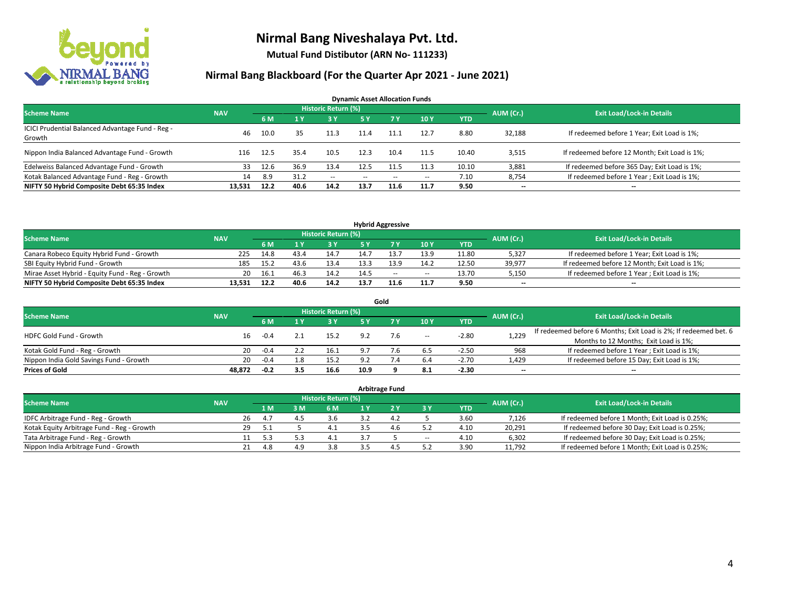

**Mutual Fund Distibutor (ARN No- 111233)**

| <b>Dynamic Asset Allocation Funds</b>                      |            |      |      |                            |               |        |       |            |           |                                               |  |  |  |
|------------------------------------------------------------|------------|------|------|----------------------------|---------------|--------|-------|------------|-----------|-----------------------------------------------|--|--|--|
| <b>Scheme Name</b>                                         | <b>NAV</b> |      |      | <b>Historic Return (%)</b> |               |        |       |            | AUM (Cr.) | <b>Exit Load/Lock-in Details</b>              |  |  |  |
|                                                            |            | 6 M  |      | 3 Y                        | 5 Y           | 7 Y    | 10 Y  | <b>YTD</b> |           |                                               |  |  |  |
| ICICI Prudential Balanced Advantage Fund - Reg -<br>Growth | 46         | 10.0 | 35   | 11.3                       | 11.4          | 11.1   | 12.7  | 8.80       | 32,188    | If redeemed before 1 Year; Exit Load is 1%;   |  |  |  |
| Nippon India Balanced Advantage Fund - Growth              | 116        | 12.5 | 35.4 | 10.5                       | 12.3          | 10.4   | 11.5  | 10.40      | 3,515     | If redeemed before 12 Month; Exit Load is 1%; |  |  |  |
| Edelweiss Balanced Advantage Fund - Growth                 | 33         | 12.6 | 36.9 | 13.4                       | 12.5          |        | 11.3  | 10.10      | 3,881     | If redeemed before 365 Day; Exit Load is 1%;  |  |  |  |
| Kotak Balanced Advantage Fund - Reg - Growth               | 14         | 8.9  | 31.2 | $\sim$                     | $\sim$ $\sim$ | $\sim$ | $\!-$ | 7.10       | 8,754     | If redeemed before 1 Year; Exit Load is 1%;   |  |  |  |
| NIFTY 50 Hybrid Composite Debt 65:35 Index                 | 13.531     | 12.2 | 40.6 | 14.2                       | 13.7          | 11.6   | 11.7  | 9.50       | $- -$     | --                                            |  |  |  |

| <b>Hybrid Aggressive</b>                        |            |      |      |                            |      |      |        |            |           |                                               |  |  |  |  |
|-------------------------------------------------|------------|------|------|----------------------------|------|------|--------|------------|-----------|-----------------------------------------------|--|--|--|--|
| <b>Scheme Name</b>                              | <b>NAV</b> |      |      | <b>Historic Return (%)</b> |      |      |        |            | AUM (Cr.) | <b>Exit Load/Lock-in Details</b>              |  |  |  |  |
|                                                 |            | 6 M  |      | 3 Y                        |      |      | 10Y    | <b>YTD</b> |           |                                               |  |  |  |  |
| Canara Robeco Equity Hybrid Fund - Growth       | 225        | 14.8 | 43.4 | 14.7                       | 14.7 |      | 13.9   | 11.80      | 5,327     | If redeemed before 1 Year; Exit Load is 1%;   |  |  |  |  |
| SBI Equity Hybrid Fund - Growth                 | 185        | 15.2 | 43.6 | 13.4                       | 13.3 | 13.9 | 14.2   | 12.50      | 39.977    | If redeemed before 12 Month; Exit Load is 1%; |  |  |  |  |
| Mirae Asset Hybrid - Equity Fund - Reg - Growth | 20         | 16.1 | 46.3 | 14.2                       | 14.5 | $-$  | $\sim$ | 13.70      | 5,150     | If redeemed before 1 Year; Exit Load is 1%;   |  |  |  |  |
| NIFTY 50 Hybrid Composite Debt 65:35 Index      | 13.531     | 12.2 | 40.6 | 14.2                       | 13.7 | 11.6 | 11.7   | 9.50       | $-$       | $-$                                           |  |  |  |  |

| Gold                                    |            |        |     |                     |                |     |       |            |           |                                                                  |  |  |  |
|-----------------------------------------|------------|--------|-----|---------------------|----------------|-----|-------|------------|-----------|------------------------------------------------------------------|--|--|--|
| <b>Scheme Name</b>                      | <b>NAV</b> |        |     | Historic Return (%) |                |     |       |            | AUM (Cr.) | <b>Exit Load/Lock-in Details</b>                                 |  |  |  |
|                                         |            | 6 M    |     | 73 Y.               | 5 Y            |     | 10Y   | <b>YTD</b> |           |                                                                  |  |  |  |
| HDFC Gold Fund - Growth                 | 16         | $-0.4$ |     | 15.2                | 9.2            | 7.6 | $\!-$ | $-2.80$    | 1,229     | If redeemed before 6 Months; Exit Load is 2%; If redeemed bet. 6 |  |  |  |
|                                         |            |        |     |                     |                |     |       |            |           | Months to 12 Months; Exit Load is 1%;                            |  |  |  |
| Kotak Gold Fund - Reg - Growth          | 20         | $-0.4$ |     | 16.1                | Q <sub>1</sub> |     | 6.5   | $-2.50$    | 968       | If redeemed before 1 Year; Exit Load is 1%;                      |  |  |  |
| Nippon India Gold Savings Fund - Growth | 20         | $-0.4$ | 1.8 | 15.2                | o٦             |     | 6.4   | $-2.70$    | 1,429     | If redeemed before 15 Day; Exit Load is 1%;                      |  |  |  |
| <b>Prices of Gold</b>                   | 48.872     | $-0.2$ | 3.5 | 16.6                | 10.9           |     | 8.1   | $-2.30$    | --        | $- -$                                                            |  |  |  |

| <b>Arbitrage Fund</b>                      |            |    |      |     |                     |  |                |        |            |           |                                                 |  |  |
|--------------------------------------------|------------|----|------|-----|---------------------|--|----------------|--------|------------|-----------|-------------------------------------------------|--|--|
| <b>Scheme Name</b>                         | <b>NAV</b> |    |      |     | Historic Return (%) |  |                |        |            | AUM (Cr.) | <b>Exit Load/Lock-in Details</b>                |  |  |
|                                            |            |    | 1 M. | 3 M | 6 M                 |  |                | 3 Y    | <b>YTD</b> |           |                                                 |  |  |
| IDFC Arbitrage Fund - Reg - Growth         |            | 26 | 4.7  | ⊿ ' | 3.6                 |  | $\mathbf{A}$ . |        | 3.60       | 7,126     | If redeemed before 1 Month; Exit Load is 0.25%; |  |  |
| Kotak Equity Arbitrage Fund - Reg - Growth |            | 29 | 5.1  |     | 4.1                 |  | 4.6            |        | 4.10       | 20,291    | If redeemed before 30 Day; Exit Load is 0.25%;  |  |  |
| Tata Arbitrage Fund - Reg - Growth         |            |    | 5.3  |     | 4.1                 |  |                | $\sim$ | 4.10       | 6,302     | If redeemed before 30 Day; Exit Load is 0.25%;  |  |  |
| Nippon India Arbitrage Fund - Growth       |            |    |      | 4.9 | 3.8                 |  | 4              |        | 3.90       | 11,792    | If redeemed before 1 Month; Exit Load is 0.25%; |  |  |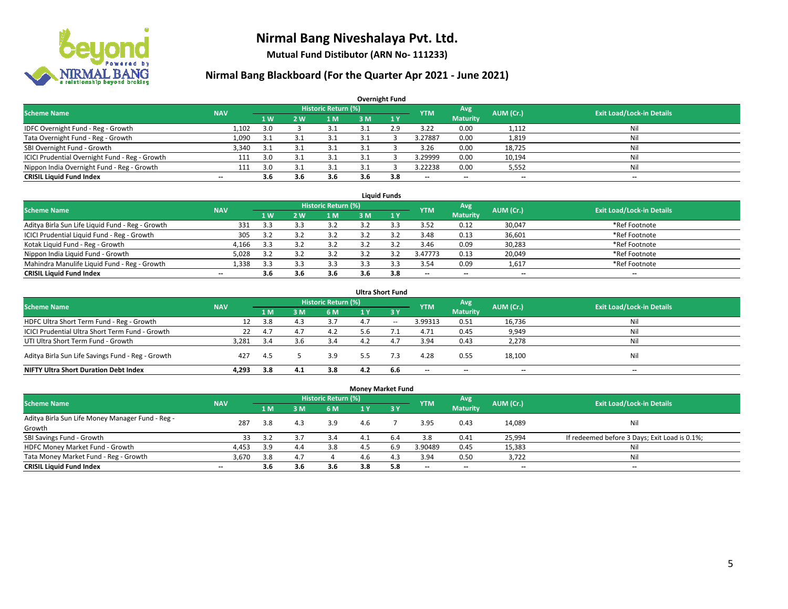

**Mutual Fund Distibutor (ARN No- 111233)**

| <b>Overnight Fund</b>                          |            |       |     |                            |     |              |                          |                          |           |                                  |  |  |  |  |
|------------------------------------------------|------------|-------|-----|----------------------------|-----|--------------|--------------------------|--------------------------|-----------|----------------------------------|--|--|--|--|
| <b>Scheme Name</b>                             | <b>NAV</b> |       |     | <b>Historic Return (%)</b> |     |              | <b>YTM</b>               | Avg                      | AUM (Cr.) | <b>Exit Load/Lock-in Details</b> |  |  |  |  |
|                                                |            | 71 W. | 2 W | l M                        | 3 M | $\sqrt{1}$ V |                          | <b>Maturity</b>          |           |                                  |  |  |  |  |
| IDFC Overnight Fund - Reg - Growth             | 1.102      | 3.0   |     |                            |     | 2.9          | 3.22                     | 0.00                     | 1,112     | Nil                              |  |  |  |  |
| Tata Overnight Fund - Reg - Growth             | 1,090      | -3.1  |     | 3.1                        |     |              | 3.27887                  | 0.00                     | 1,819     | Nil                              |  |  |  |  |
| SBI Overnight Fund - Growth                    | 3,340      | 3.1   |     | 3.1                        |     |              | 3.26                     | 0.00                     | 18,725    | Nil                              |  |  |  |  |
| ICICI Prudential Overnight Fund - Reg - Growth | 111        | 3.0   |     | 3.1                        |     |              | 3.29999                  | 0.00                     | 10,194    | Nil                              |  |  |  |  |
| Nippon India Overnight Fund - Reg - Growth     | 111        | 3.0   |     |                            |     |              | 3.22238                  | 0.00                     | 5,552     | Nil                              |  |  |  |  |
| <b>CRISIL Liquid Fund Index</b>                | $- -$      | 3.6   | 3.6 | 3.6                        | 3.6 | 3.8          | $\overline{\phantom{a}}$ | $\overline{\phantom{a}}$ | --        | $\overline{\phantom{a}}$         |  |  |  |  |

| <b>Liquid Funds</b>                              |            |           |     |                            |     |     |                          |                          |                          |                                  |  |  |  |
|--------------------------------------------------|------------|-----------|-----|----------------------------|-----|-----|--------------------------|--------------------------|--------------------------|----------------------------------|--|--|--|
| <b>Scheme Name</b>                               | <b>NAV</b> |           |     | <b>Historic Return (%)</b> |     |     | <b>YTM</b>               | Avg                      | AUM (Cr.)                | <b>Exit Load/Lock-in Details</b> |  |  |  |
|                                                  |            | <b>1W</b> | 2 W | 1 M                        | 3 M |     |                          | <b>Maturity</b>          |                          |                                  |  |  |  |
| Aditya Birla Sun Life Liquid Fund - Reg - Growth | 331        | 3.3       |     | 3.2                        |     |     | 3.52                     | 0.12                     | 30,047                   | *Ref Footnote                    |  |  |  |
| ICICI Prudential Liquid Fund - Reg - Growth      | 305        | 3.2       |     | 3.2                        |     |     | 3.48                     | 0.13                     | 36,601                   | *Ref Footnote                    |  |  |  |
| Kotak Liquid Fund - Reg - Growth                 | 4,166      | 3.3       |     | 3.2                        |     |     | 3.46                     | 0.09                     | 30,283                   | *Ref Footnote                    |  |  |  |
| Nippon India Liquid Fund - Growth                | 5,028      | 3.2       |     | 3.2                        |     |     | 3.47773                  | 0.13                     | 20,049                   | *Ref Footnote                    |  |  |  |
| Mahindra Manulife Liquid Fund - Reg - Growth     | 1,338      | 3.3       |     | 3.3                        |     |     | 3.54                     | 0.09                     | 1,617                    | *Ref Footnote                    |  |  |  |
| <b>CRISIL Liquid Fund Index</b>                  | $- -$      | 3.6       | 3.6 | 3.6                        | 3.6 | 3.8 | $\overline{\phantom{a}}$ | $\overline{\phantom{a}}$ | $\overline{\phantom{a}}$ | $-$                              |  |  |  |

| <b>Ultra Short Fund</b>                           |            |     |                |                            |     |                               |                          |                          |           |                                  |  |  |  |
|---------------------------------------------------|------------|-----|----------------|----------------------------|-----|-------------------------------|--------------------------|--------------------------|-----------|----------------------------------|--|--|--|
| <b>Scheme Name</b>                                | <b>NAV</b> |     |                | <b>Historic Return (%)</b> |     |                               | <b>YTM</b>               | Avg                      | AUM (Cr.) | <b>Exit Load/Lock-in Details</b> |  |  |  |
|                                                   |            | 1 M | 3 <sub>M</sub> | 6 M                        | 1 Y | $\overline{3}$ $\overline{V}$ |                          | <b>Maturity</b>          |           |                                  |  |  |  |
| HDFC Ultra Short Term Fund - Reg - Growth         | 12         | 3.8 | 4.3            | 3.7                        | 4.7 | $- -$                         | 3.99313                  | 0.51                     | 16,736    | Nil                              |  |  |  |
| ICICI Prudential Ultra Short Term Fund - Growth   | 22         | 4.7 | 4.7            | 4.2                        | 5.6 |                               | 4.71                     | 0.45                     | 9,949     | Nil                              |  |  |  |
| UTI Ultra Short Term Fund - Growth                | 3.281      | 3.4 |                | 3.4                        |     | 4.7                           | 3.94                     | 0.43                     | 2,278     | Ni                               |  |  |  |
| Aditya Birla Sun Life Savings Fund - Reg - Growth | 427        | 4.5 |                | 3.9                        | 5.5 | 7.3                           | 4.28                     | 0.55                     | 18,100    | Nil                              |  |  |  |
| <b>NIFTY Ultra Short Duration Debt Index</b>      | 4.293      | 3.8 | 4.1            | 3.8                        | 4.2 | 6.6                           | $\overline{\phantom{a}}$ | $\overline{\phantom{a}}$ | $- -$     | $-$                              |  |  |  |

| <b>Money Market Fund</b>                         |            |                |     |                            |     |                  |                          |                 |                          |                                               |  |  |  |  |
|--------------------------------------------------|------------|----------------|-----|----------------------------|-----|------------------|--------------------------|-----------------|--------------------------|-----------------------------------------------|--|--|--|--|
| <b>Scheme Name</b>                               | <b>NAV</b> |                |     | <b>Historic Return (%)</b> |     |                  | <b>YTM</b>               | Avg             | AUM (Cr.)                | <b>Exit Load/Lock-in Details</b>              |  |  |  |  |
|                                                  |            | 1 <sub>M</sub> | 3M  | <b>6 M</b>                 | 1 Y | $\overline{3}$ Y |                          | <b>Maturity</b> |                          |                                               |  |  |  |  |
| Aditya Birla Sun Life Money Manager Fund - Reg - | 287        | 3.8            | 4.3 | 3.9                        | 4.6 |                  | 3.95                     | 0.43            | 14,089                   | Nil                                           |  |  |  |  |
| Growth                                           |            |                |     |                            |     |                  |                          |                 |                          |                                               |  |  |  |  |
| SBI Savings Fund - Growth                        | 33         | 3.2            |     | 3.4                        |     | 6.4              | 3.8                      | 0.41            | 25,994                   | If redeemed before 3 Days; Exit Load is 0.1%; |  |  |  |  |
| HDFC Money Market Fund - Growth                  | 4,453      | 3.9            | 4.4 | 3.8                        |     | 6.9              | 3.90489                  | 0.45            | 15,383                   | Nil                                           |  |  |  |  |
| Tata Money Market Fund - Reg - Growth            | 3,670      | 3.8            | 4.7 |                            | 4.6 | 4.3              | 3.94                     | 0.50            | 3,722                    | Nil                                           |  |  |  |  |
| <b>CRISIL Liquid Fund Index</b>                  | $- -$      | 3.6            | 3.6 | 3.6                        | 3.8 | 5.8              | $\overline{\phantom{a}}$ | $- -$           | $\overline{\phantom{a}}$ | $- -$                                         |  |  |  |  |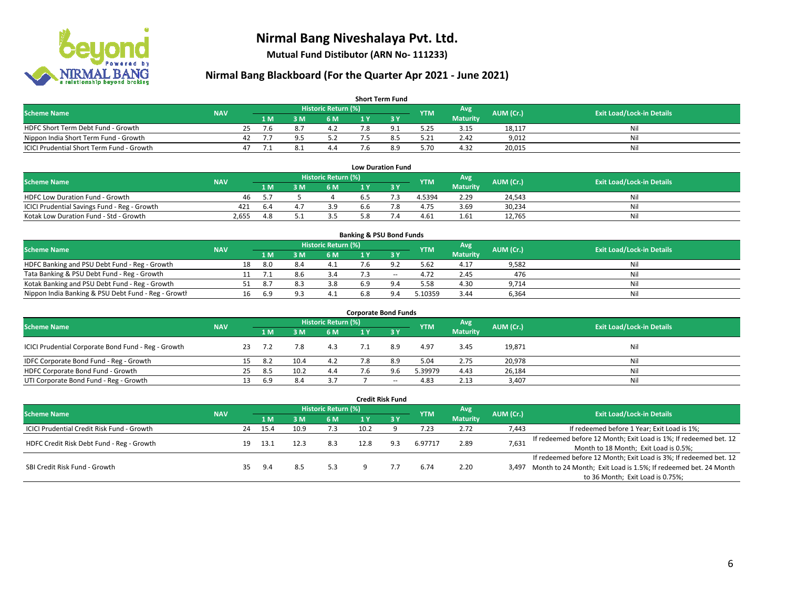

**Mutual Fund Distibutor (ARN No- 111233)**

| <b>Short Term Fund</b>                    |            |    |      |     |                            |     |     |            |                 |           |                                  |  |  |  |
|-------------------------------------------|------------|----|------|-----|----------------------------|-----|-----|------------|-----------------|-----------|----------------------------------|--|--|--|
| <b>Scheme Name</b>                        | <b>NAV</b> |    |      |     | <b>Historic Return (%)</b> |     |     | <b>YTM</b> | Avg             | AUM (Cr.) | <b>Exit Load/Lock-in Details</b> |  |  |  |
|                                           |            |    | 1 M. | 3 M | 6 M                        | 1 V |     |            | <b>Maturity</b> |           |                                  |  |  |  |
| HDFC Short Term Debt Fund - Growth        |            | 25 | 7.6  |     |                            |     |     | 5.25       | 3.15            | 18,117    | Nil                              |  |  |  |
| Nippon India Short Term Fund - Growth     |            | 42 |      |     |                            |     |     | 5.21       | 2.42            | 9,012     | Nil                              |  |  |  |
| ICICI Prudential Short Term Fund - Growth |            | 47 |      |     | 4.4                        |     | 8.9 | 5.70       | 4.32            | 20,015    | Nil                              |  |  |  |

| <b>Low Duration Fund</b>                     |            |      |  |                     |     |  |            |                 |           |                                  |  |  |  |  |
|----------------------------------------------|------------|------|--|---------------------|-----|--|------------|-----------------|-----------|----------------------------------|--|--|--|--|
| <b>Scheme Name</b>                           | <b>NAV</b> |      |  | Historic Return (%) |     |  | <b>YTM</b> | Avg             | AUM (Cr.) | <b>Exit Load/Lock-in Details</b> |  |  |  |  |
|                                              |            | 1 M  |  | 6 M                 |     |  |            | <b>Maturity</b> |           |                                  |  |  |  |  |
| HDFC Low Duration Fund - Growth              | 46         | 55   |  |                     | b.5 |  | 4.5394     | 2.29            | 24.543    | Nil                              |  |  |  |  |
| ICICI Prudential Savings Fund - Reg - Growth | 421        | -6.4 |  | 3.9                 | 6.6 |  | 4.75       | 3.69            | 30,234    | Nil                              |  |  |  |  |
| Kotak Low Duration Fund - Std - Growth       | 2.655      | 4.8  |  | 3.5                 | 5.8 |  | 4.61       | 1.61            | 12.765    | Nil                              |  |  |  |  |

| <b>Banking &amp; PSU Bond Funds</b>                 |            |    |     |          |                     |     |             |            |                 |           |                                  |  |  |  |
|-----------------------------------------------------|------------|----|-----|----------|---------------------|-----|-------------|------------|-----------------|-----------|----------------------------------|--|--|--|
| <b>Scheme Name</b>                                  | <b>NAV</b> |    |     |          | Historic Return (%) |     |             | <b>YTM</b> | Avg             | AUM (Cr.) | <b>Exit Load/Lock-in Details</b> |  |  |  |
|                                                     |            |    | 1 M | . M      | <b>6M</b>           |     |             |            | <b>Maturity</b> |           |                                  |  |  |  |
| HDFC Banking and PSU Debt Fund - Reg - Growth       |            | 18 | 8.O | 8.4      |                     |     | $\Omega$    | 5.62       | 4.17            | 9,582     | Nil                              |  |  |  |
| Tata Banking & PSU Debt Fund - Reg - Growth         |            |    |     |          | 3.4                 |     | $\sim$      | 4.72       | 2.45            | 476       | Nil                              |  |  |  |
| Kotak Banking and PSU Debt Fund - Reg - Growth      |            |    |     |          | 3.8                 | 6.9 |             | 5.58       | 4.30            | 9.714     | Nil                              |  |  |  |
| Nippon India Banking & PSU Debt Fund - Reg - Growth |            | 16 | 6.9 | $\Omega$ | 4.1                 | 6.8 | $Q \Lambda$ | 5.10359    | 3.44            | 6,364     | Nil                              |  |  |  |

| <b>Corporate Bond Funds</b>                         |            |    |      |      |                            |     |       |            |                 |           |                                  |  |  |  |
|-----------------------------------------------------|------------|----|------|------|----------------------------|-----|-------|------------|-----------------|-----------|----------------------------------|--|--|--|
| <b>Scheme Name</b>                                  |            |    |      |      | <b>Historic Return (%)</b> |     |       | <b>YTM</b> | Avg             | AUM (Cr.) |                                  |  |  |  |
|                                                     | <b>NAV</b> |    | 1 M  | M    | 6 M                        | 1 Y | 73 Y  |            | <b>Maturity</b> |           | <b>Exit Load/Lock-in Details</b> |  |  |  |
| ICICI Prudential Corporate Bond Fund - Reg - Growth |            |    |      |      | 4.3                        |     | 8.9   | 4.97       | 3.45            | 19,871    | Nil                              |  |  |  |
| IDFC Corporate Bond Fund - Reg - Growth             |            | 15 | -8.2 | 10.4 | 4.2                        |     | 8.9   | 5.04       | 2.75            | 20,978    | Nil                              |  |  |  |
| HDFC Corporate Bond Fund - Growth                   |            | 25 | 8.5  | 10.2 | 4.4                        | '.6 | 9.6   | 5.39979    | 4.43            | 26,184    | Nil                              |  |  |  |
| UTI Corporate Bond Fund - Reg - Growth              |            |    | 6.9  | 8.4  | 3.7                        |     | $- -$ | 4.83       | 2.13            | 3,407     | Nil                              |  |  |  |

| <b>Credit Risk Fund</b>                    |            |    |      |      |                            |      |           |            |                        |           |                                                                       |  |
|--------------------------------------------|------------|----|------|------|----------------------------|------|-----------|------------|------------------------|-----------|-----------------------------------------------------------------------|--|
| <b>Scheme Name</b>                         | <b>NAV</b> |    |      |      | <b>Historic Return (%)</b> |      |           | <b>YTM</b> | Avg<br><b>Maturity</b> | AUM (Cr.) | <b>Exit Load/Lock-in Details</b>                                      |  |
|                                            |            |    | 1 M  | 8 M  | 6 M                        | 1 Y  | $Z$ 3 $V$ |            |                        |           |                                                                       |  |
| ICICI Prudential Credit Risk Fund - Growth |            | 24 | 15.4 | 10.9 | 7.3                        | 10.2 |           | 7.23       | 2.72                   | 7,443     | If redeemed before 1 Year; Exit Load is 1%;                           |  |
| HDFC Credit Risk Debt Fund - Reg - Growth  |            | 19 | 13.1 |      | 8.3                        | 12.8 | 9.3       | 6.97717    | 2.89                   | 7,631     | If redeemed before 12 Month; Exit Load is 1%; If redeemed bet. 12     |  |
|                                            |            |    |      |      |                            |      |           |            |                        |           | Month to 18 Month; Exit Load is 0.5%;                                 |  |
|                                            |            |    |      |      |                            |      |           |            |                        |           | If redeemed before 12 Month; Exit Load is 3%; If redeemed bet. 12     |  |
| SBI Credit Risk Fund - Growth              |            |    | 9.4  | 8.5  | 5.3                        |      |           | 6.74       | 2.20                   |           | 3,497 Month to 24 Month; Exit Load is 1.5%; If redeemed bet. 24 Month |  |
|                                            |            |    |      |      |                            |      |           |            |                        |           | to 36 Month; Exit Load is 0.75%;                                      |  |